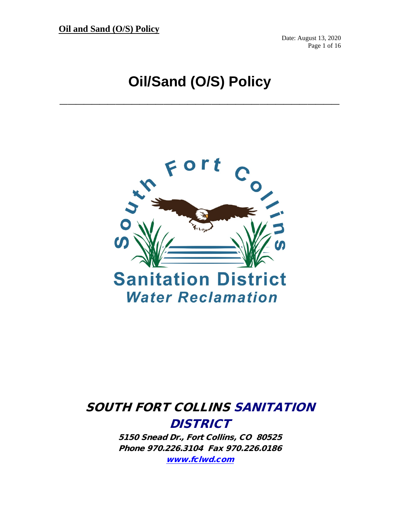**Oil and Sand (O/S) Policy**

Date: August 13, 2020 Page 1 of 16

# **Oil/Sand (O/S) Policy**

**\_\_\_\_\_\_\_\_\_\_\_\_\_\_\_\_\_\_\_\_\_\_\_\_\_\_\_\_\_\_\_\_\_\_\_**



## SOUTH FORT COLLINS SANITATION **DISTRICT**

5150 Snead Dr., Fort Collins, CO 80525 Phone 970.226.3104 Fax 970.226.0186 [www.fclwd.com](http://www.fclwd.com/)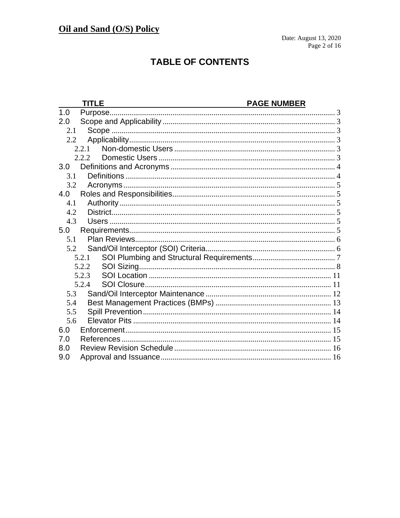## **TABLE OF CONTENTS**

|               | <b>TITLE</b> | <b>PAGE NUMBER</b> |
|---------------|--------------|--------------------|
| 1.0           |              |                    |
| 2.0           |              |                    |
| 2.1           |              |                    |
| $2.2^{\circ}$ |              |                    |
|               | 2.2.1        |                    |
|               | 222          |                    |
| 3.0           |              |                    |
| 3.1           |              |                    |
| 3.2           |              |                    |
| 4.0           |              |                    |
| 4.1           |              |                    |
| 4.2           |              |                    |
| 4.3           |              |                    |
| 5.0           |              |                    |
| 5.1           |              |                    |
| 5.2           |              |                    |
|               | 5.2.1        |                    |
|               | 5.2.2        |                    |
|               | 5.2.3        |                    |
|               | 5.2.4        |                    |
| 5.3           |              |                    |
| 5.4           |              |                    |
| 5.5           |              |                    |
| 5.6           |              |                    |
| 6.0           |              |                    |
| 7.0           |              |                    |
| 8.0           |              |                    |
| 9.0           |              |                    |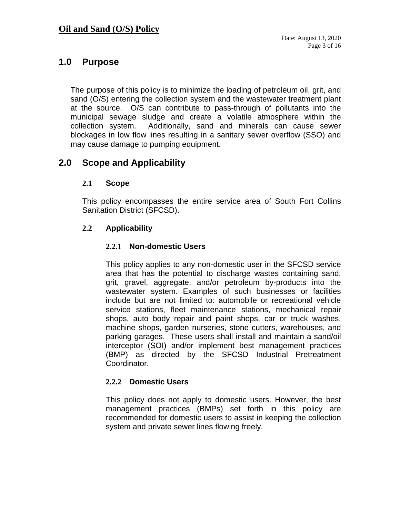## <span id="page-2-0"></span>**1.0 Purpose**

The purpose of this policy is to minimize the loading of petroleum oil, grit, and sand (O/S) entering the collection system and the wastewater treatment plant at the source. O/S can contribute to pass-through of pollutants into the municipal sewage sludge and create a volatile atmosphere within the collection system. Additionally, sand and minerals can cause sewer blockages in low flow lines resulting in a sanitary sewer overflow (SSO) and may cause damage to pumping equipment.

## <span id="page-2-2"></span><span id="page-2-1"></span>**2.0 Scope and Applicability**

#### **2.1 Scope**

This policy encompasses the entire service area of South Fort Collins Sanitation District (SFCSD).

#### <span id="page-2-4"></span><span id="page-2-3"></span>**2.2 Applicability**

#### **2.2.1 Non-domestic Users**

This policy applies to any non-domestic user in the SFCSD service area that has the potential to discharge wastes containing sand, grit, gravel, aggregate, and/or petroleum by-products into the wastewater system. Examples of such businesses or facilities include but are not limited to: automobile or recreational vehicle service stations, fleet maintenance stations, mechanical repair shops, auto body repair and paint shops, car or truck washes, machine shops, garden nurseries, stone cutters, warehouses, and parking garages. These users shall install and maintain a sand/oil interceptor (SOI) and/or implement best management practices (BMP) as directed by the SFCSD Industrial Pretreatment Coordinator.

#### <span id="page-2-5"></span>**2.2.2 Domestic Users**

This policy does not apply to domestic users. However, the best management practices (BMPs) set forth in this policy are recommended for domestic users to assist in keeping the collection system and private sewer lines flowing freely.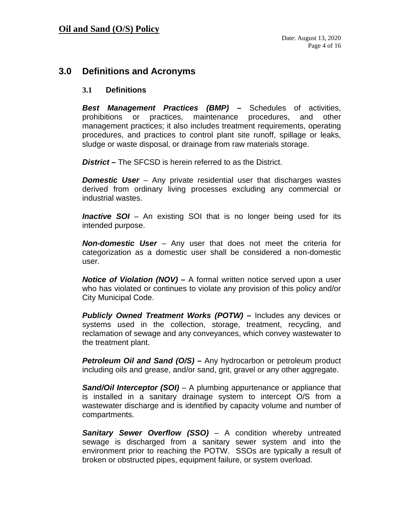## <span id="page-3-0"></span>**3.0 Definitions and Acronyms**

#### <span id="page-3-1"></span>**3.1 Definitions**

*Best Management Practices (BMP) –* Schedules of activities, prohibitions or practices, maintenance procedures, and other management practices; it also includes treatment requirements, operating procedures, and practices to control plant site runoff, spillage or leaks, sludge or waste disposal, or drainage from raw materials storage.

*District –* The SFCSD is herein referred to as the District.

*Domestic User* – Any private residential user that discharges wastes derived from ordinary living processes excluding any commercial or industrial wastes.

*Inactive SOI* – An existing SOI that is no longer being used for its intended purpose.

*Non-domestic User* – Any user that does not meet the criteria for categorization as a domestic user shall be considered a non-domestic user.

*Notice of Violation (NOV) –* A formal written notice served upon a user who has violated or continues to violate any provision of this policy and/or City Municipal Code.

*Publicly Owned Treatment Works (POTW) –* Includes any devices or systems used in the collection, storage, treatment, recycling, and reclamation of sewage and any conveyances, which convey wastewater to the treatment plant.

*Petroleum Oil and Sand (O/S) –* Any hydrocarbon or petroleum product including oils and grease, and/or sand, grit, gravel or any other aggregate.

*Sand/Oil Interceptor (SOI)* – A plumbing appurtenance or appliance that is installed in a sanitary drainage system to intercept O/S from a wastewater discharge and is identified by capacity volume and number of compartments.

**Sanitary Sewer Overflow (SSO)** – A condition whereby untreated sewage is discharged from a sanitary sewer system and into the environment prior to reaching the POTW. SSOs are typically a result of broken or obstructed pipes, equipment failure, or system overload.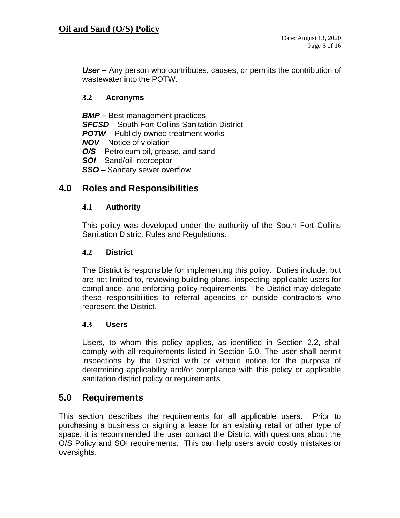*User –* Any person who contributes, causes, or permits the contribution of wastewater into the POTW.

#### <span id="page-4-0"></span>**3.2 Acronyms**

*BMP –* Best management practices *SFCSD* – South Fort Collins Sanitation District *POTW* – Publicly owned treatment works *NOV* – Notice of violation *O/S* – Petroleum oil, grease, and sand *SOI* – Sand/oil interceptor *SSO* – Sanitary sewer overflow

## <span id="page-4-1"></span>**4.0 Roles and Responsibilities**

#### <span id="page-4-2"></span>**4.1 Authority**

This policy was developed under the authority of the South Fort Collins Sanitation District Rules and Regulations.

#### <span id="page-4-3"></span>**4.2 District**

The District is responsible for implementing this policy. Duties include, but are not limited to, reviewing building plans, inspecting applicable users for compliance, and enforcing policy requirements. The District may delegate these responsibilities to referral agencies or outside contractors who represent the District.

#### <span id="page-4-4"></span>**4.3 Users**

Users, to whom this policy applies, as identified in Section 2.2, shall comply with all requirements listed in Section 5.0. The user shall permit inspections by the District with or without notice for the purpose of determining applicability and/or compliance with this policy or applicable sanitation district policy or requirements.

## <span id="page-4-5"></span>**5.0 Requirements**

This section describes the requirements for all applicable users. Prior to purchasing a business or signing a lease for an existing retail or other type of space, it is recommended the user contact the District with questions about the O/S Policy and SOI requirements. This can help users avoid costly mistakes or oversights.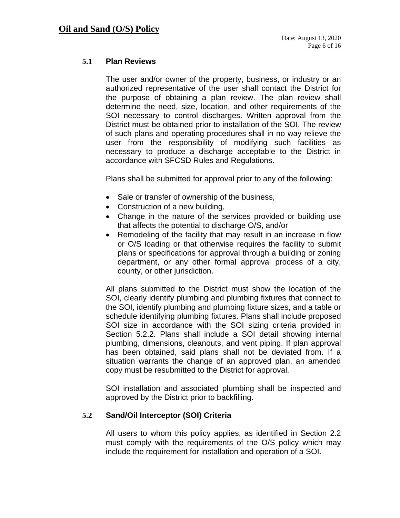#### **5.1 Plan Reviews**

<span id="page-5-0"></span>The user and/or owner of the property, business, or industry or an authorized representative of the user shall contact the District for the purpose of obtaining a plan review. The plan review shall determine the need, size, location, and other requirements of the SOI necessary to control discharges. Written approval from the District must be obtained prior to installation of the SOI. The review of such plans and operating procedures shall in no way relieve the user from the responsibility of modifying such facilities as necessary to produce a discharge acceptable to the District in accordance with SFCSD Rules and Regulations.

Plans shall be submitted for approval prior to any of the following:

- Sale or transfer of ownership of the business,
- Construction of a new building,
- Change in the nature of the services provided or building use that affects the potential to discharge O/S, and/or
- Remodeling of the facility that may result in an increase in flow or O/S loading or that otherwise requires the facility to submit plans or specifications for approval through a building or zoning department, or any other formal approval process of a city, county, or other jurisdiction.

All plans submitted to the District must show the location of the SOI, clearly identify plumbing and plumbing fixtures that connect to the SOI, identify plumbing and plumbing fixture sizes, and a table or schedule identifying plumbing fixtures. Plans shall include proposed SOI size in accordance with the SOI sizing criteria provided in Section 5.2.2. Plans shall include a SOI detail showing internal plumbing, dimensions, cleanouts, and vent piping. If plan approval has been obtained, said plans shall not be deviated from. If a situation warrants the change of an approved plan, an amended copy must be resubmitted to the District for approval.

SOI installation and associated plumbing shall be inspected and approved by the District prior to backfilling.

#### <span id="page-5-1"></span>**5.2 Sand/Oil Interceptor (SOI) Criteria**

All users to whom this policy applies, as identified in Section 2.2 must comply with the requirements of the O/S policy which may include the requirement for installation and operation of a SOI.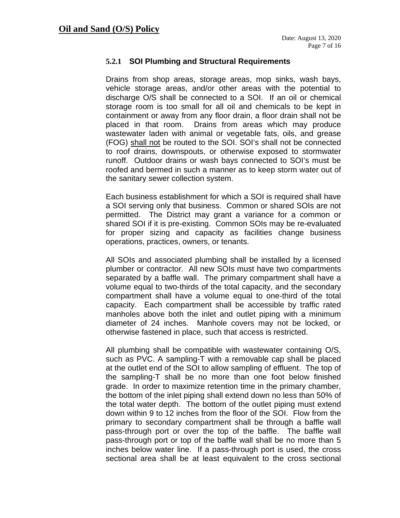#### <span id="page-6-0"></span>**5.2.1 SOI Plumbing and Structural Requirements**

Drains from shop areas, storage areas, mop sinks, wash bays, vehicle storage areas, and/or other areas with the potential to discharge O/S shall be connected to a SOI. If an oil or chemical storage room is too small for all oil and chemicals to be kept in containment or away from any floor drain, a floor drain shall not be placed in that room. Drains from areas which may produce wastewater laden with animal or vegetable fats, oils, and grease (FOG) shall not be routed to the SOI. SOI's shall not be connected to roof drains, downspouts, or otherwise exposed to stormwater runoff. Outdoor drains or wash bays connected to SOI's must be roofed and bermed in such a manner as to keep storm water out of the sanitary sewer collection system.

Each business establishment for which a SOI is required shall have a SOI serving only that business. Common or shared SOIs are not permitted. The District may grant a variance for a common or shared SOI if it is pre-existing. Common SOIs may be re-evaluated for proper sizing and capacity as facilities change business operations, practices, owners, or tenants.

All SOIs and associated plumbing shall be installed by a licensed plumber or contractor. All new SOIs must have two compartments separated by a baffle wall. The primary compartment shall have a volume equal to two-thirds of the total capacity, and the secondary compartment shall have a volume equal to one-third of the total capacity. Each compartment shall be accessible by traffic rated manholes above both the inlet and outlet piping with a minimum diameter of 24 inches. Manhole covers may not be locked, or otherwise fastened in place, such that access is restricted.

All plumbing shall be compatible with wastewater containing O/S, such as PVC. A sampling-T with a removable cap shall be placed at the outlet end of the SOI to allow sampling of effluent. The top of the sampling-T shall be no more than one foot below finished grade. In order to maximize retention time in the primary chamber, the bottom of the inlet piping shall extend down no less than 50% of the total water depth. The bottom of the outlet piping must extend down within 9 to 12 inches from the floor of the SOI. Flow from the primary to secondary compartment shall be through a baffle wall pass-through port or over the top of the baffle. The baffle wall pass-through port or top of the baffle wall shall be no more than 5 inches below water line. If a pass-through port is used, the cross sectional area shall be at least equivalent to the cross sectional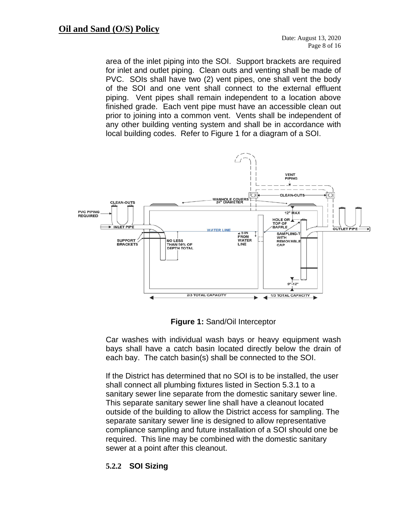area of the inlet piping into the SOI. Support brackets are required for inlet and outlet piping. Clean outs and venting shall be made of PVC. SOIs shall have two (2) vent pipes, one shall vent the body of the SOI and one vent shall connect to the external effluent piping. Vent pipes shall remain independent to a location above finished grade. Each vent pipe must have an accessible clean out prior to joining into a common vent. Vents shall be independent of any other building venting system and shall be in accordance with local building codes. Refer to Figure 1 for a diagram of a SOI.



**Figure 1:** Sand/Oil Interceptor

Car washes with individual wash bays or heavy equipment wash bays shall have a catch basin located directly below the drain of each bay. The catch basin(s) shall be connected to the SOI.

If the District has determined that no SOI is to be installed, the user shall connect all plumbing fixtures listed in Section 5.3.1 to a sanitary sewer line separate from the domestic sanitary sewer line. This separate sanitary sewer line shall have a cleanout located outside of the building to allow the District access for sampling. The separate sanitary sewer line is designed to allow representative compliance sampling and future installation of a SOI should one be required. This line may be combined with the domestic sanitary sewer at a point after this cleanout.

#### <span id="page-7-0"></span>**5.2.2 SOI Sizing**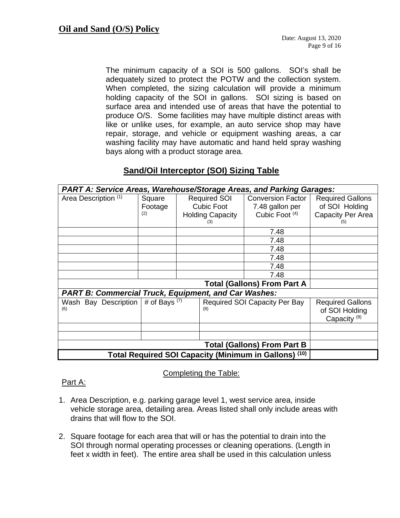The minimum capacity of a SOI is 500 gallons. SOI's shall be adequately sized to protect the POTW and the collection system. When completed, the sizing calculation will provide a minimum holding capacity of the SOI in gallons. SOI sizing is based on surface area and intended use of areas that have the potential to produce O/S. Some facilities may have multiple distinct areas with like or unlike uses, for example, an auto service shop may have repair, storage, and vehicle or equipment washing areas, a car washing facility may have automatic and hand held spray washing bays along with a product storage area.

| <b>PART A: Service Areas, Warehouse/Storage Areas, and Parking Garages:</b> |                          |                                      |                                                              |                                                                          |                                                                |  |  |  |
|-----------------------------------------------------------------------------|--------------------------|--------------------------------------|--------------------------------------------------------------|--------------------------------------------------------------------------|----------------------------------------------------------------|--|--|--|
| Area Description (1)                                                        | Square<br>Footage<br>(2) |                                      | <b>Required SOI</b><br>Cubic Foot<br><b>Holding Capacity</b> | <b>Conversion Factor</b><br>7.48 gallon per<br>Cubic Foot <sup>(4)</sup> | <b>Required Gallons</b><br>of SOI Holding<br>Capacity Per Area |  |  |  |
|                                                                             |                          |                                      | (3)                                                          | 7.48                                                                     | (5)                                                            |  |  |  |
|                                                                             |                          |                                      |                                                              | 7.48                                                                     |                                                                |  |  |  |
|                                                                             |                          |                                      |                                                              | 7.48                                                                     |                                                                |  |  |  |
|                                                                             |                          |                                      |                                                              | 7.48                                                                     |                                                                |  |  |  |
|                                                                             |                          |                                      |                                                              | 7.48                                                                     |                                                                |  |  |  |
|                                                                             |                          |                                      |                                                              | 7.48                                                                     |                                                                |  |  |  |
|                                                                             |                          |                                      |                                                              |                                                                          |                                                                |  |  |  |
| <b>PART B: Commercial Truck, Equipment, and Car Washes:</b>                 |                          |                                      |                                                              |                                                                          |                                                                |  |  |  |
| Wash Bay Description $#$ of Bays (7)<br>(6)                                 |                          | Required SOI Capacity Per Bay<br>(8) |                                                              | <b>Required Gallons</b><br>of SOI Holding<br>Capacity <sup>(9)</sup>     |                                                                |  |  |  |
|                                                                             |                          |                                      |                                                              |                                                                          |                                                                |  |  |  |
|                                                                             |                          |                                      |                                                              |                                                                          |                                                                |  |  |  |
|                                                                             |                          |                                      |                                                              |                                                                          |                                                                |  |  |  |
| Total Required SOI Capacity (Minimum in Gallons) (10)                       |                          |                                      |                                                              |                                                                          |                                                                |  |  |  |

## **Sand/Oil Interceptor (SOI) Sizing Table**

#### Completing the Table:

#### Part A:

- 1. Area Description, e.g. parking garage level 1, west service area, inside vehicle storage area, detailing area. Areas listed shall only include areas with drains that will flow to the SOI.
- 2. Square footage for each area that will or has the potential to drain into the SOI through normal operating processes or cleaning operations. (Length in feet x width in feet). The entire area shall be used in this calculation unless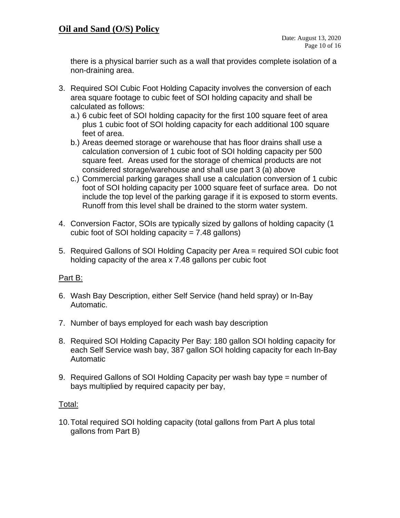there is a physical barrier such as a wall that provides complete isolation of a non-draining area.

- 3. Required SOI Cubic Foot Holding Capacity involves the conversion of each area square footage to cubic feet of SOI holding capacity and shall be calculated as follows:
	- a.) 6 cubic feet of SOI holding capacity for the first 100 square feet of area plus 1 cubic foot of SOI holding capacity for each additional 100 square feet of area.
	- b.) Areas deemed storage or warehouse that has floor drains shall use a calculation conversion of 1 cubic foot of SOI holding capacity per 500 square feet. Areas used for the storage of chemical products are not considered storage/warehouse and shall use part 3 (a) above
	- c.) Commercial parking garages shall use a calculation conversion of 1 cubic foot of SOI holding capacity per 1000 square feet of surface area. Do not include the top level of the parking garage if it is exposed to storm events. Runoff from this level shall be drained to the storm water system.
- 4. Conversion Factor, SOIs are typically sized by gallons of holding capacity (1 cubic foot of SOI holding capacity  $= 7.48$  gallons)
- 5. Required Gallons of SOI Holding Capacity per Area = required SOI cubic foot holding capacity of the area x 7.48 gallons per cubic foot

## Part B:

- 6. Wash Bay Description, either Self Service (hand held spray) or In-Bay Automatic.
- 7. Number of bays employed for each wash bay description
- 8. Required SOI Holding Capacity Per Bay: 180 gallon SOI holding capacity for each Self Service wash bay, 387 gallon SOI holding capacity for each In-Bay Automatic
- 9. Required Gallons of SOI Holding Capacity per wash bay type = number of bays multiplied by required capacity per bay,

#### Total:

10.Total required SOI holding capacity (total gallons from Part A plus total gallons from Part B)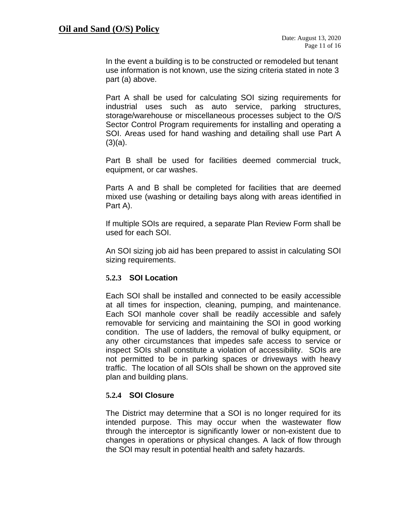In the event a building is to be constructed or remodeled but tenant use information is not known, use the sizing criteria stated in note 3 part (a) above.

Part A shall be used for calculating SOI sizing requirements for industrial uses such as auto service, parking structures, storage/warehouse or miscellaneous processes subject to the O/S Sector Control Program requirements for installing and operating a SOI. Areas used for hand washing and detailing shall use Part A  $(3)(a)$ .

Part B shall be used for facilities deemed commercial truck, equipment, or car washes.

Parts A and B shall be completed for facilities that are deemed mixed use (washing or detailing bays along with areas identified in Part A).

If multiple SOIs are required, a separate Plan Review Form shall be used for each SOI.

An SOI sizing job aid has been prepared to assist in calculating SOI sizing requirements.

#### <span id="page-10-0"></span>**5.2.3 SOI Location**

Each SOI shall be installed and connected to be easily accessible at all times for inspection, cleaning, pumping, and maintenance. Each SOI manhole cover shall be readily accessible and safely removable for servicing and maintaining the SOI in good working condition. The use of ladders, the removal of bulky equipment, or any other circumstances that impedes safe access to service or inspect SOIs shall constitute a violation of accessibility. SOIs are not permitted to be in parking spaces or driveways with heavy traffic. The location of all SOIs shall be shown on the approved site plan and building plans.

#### <span id="page-10-1"></span>**5.2.4 SOI Closure**

The District may determine that a SOI is no longer required for its intended purpose. This may occur when the wastewater flow through the interceptor is significantly lower or non-existent due to changes in operations or physical changes. A lack of flow through the SOI may result in potential health and safety hazards.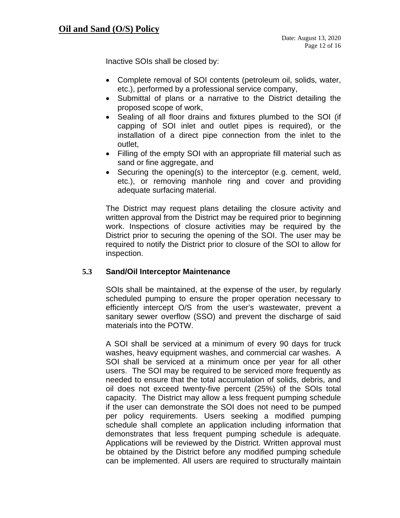Inactive SOIs shall be closed by:

- Complete removal of SOI contents (petroleum oil, solids, water, etc.), performed by a professional service company,
- Submittal of plans or a narrative to the District detailing the proposed scope of work,
- Sealing of all floor drains and fixtures plumbed to the SOI (if capping of SOI inlet and outlet pipes is required), or the installation of a direct pipe connection from the inlet to the outlet,
- Filling of the empty SOI with an appropriate fill material such as sand or fine aggregate, and
- Securing the opening(s) to the interceptor (e.g. cement, weld, etc.), or removing manhole ring and cover and providing adequate surfacing material.

The District may request plans detailing the closure activity and written approval from the District may be required prior to beginning work. Inspections of closure activities may be required by the District prior to securing the opening of the SOI. The user may be required to notify the District prior to closure of the SOI to allow for inspection.

#### <span id="page-11-0"></span>**5.3 Sand/Oil Interceptor Maintenance**

SOIs shall be maintained, at the expense of the user, by regularly scheduled pumping to ensure the proper operation necessary to efficiently intercept O/S from the user's wastewater, prevent a sanitary sewer overflow (SSO) and prevent the discharge of said materials into the POTW.

A SOI shall be serviced at a minimum of every 90 days for truck washes, heavy equipment washes, and commercial car washes. A SOI shall be serviced at a minimum once per year for all other users. The SOI may be required to be serviced more frequently as needed to ensure that the total accumulation of solids, debris, and oil does not exceed twenty-five percent (25%) of the SOIs total capacity. The District may allow a less frequent pumping schedule if the user can demonstrate the SOI does not need to be pumped per policy requirements. Users seeking a modified pumping schedule shall complete an application including information that demonstrates that less frequent pumping schedule is adequate. Applications will be reviewed by the District. Written approval must be obtained by the District before any modified pumping schedule can be implemented. All users are required to structurally maintain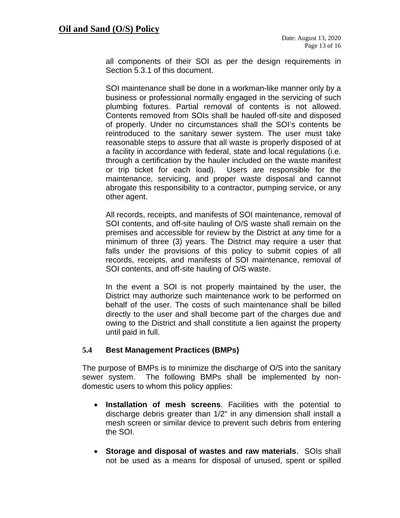all components of their SOI as per the design requirements in Section 5.3.1 of this document.

SOI maintenance shall be done in a workman-like manner only by a business or professional normally engaged in the servicing of such plumbing fixtures. Partial removal of contents is not allowed. Contents removed from SOIs shall be hauled off-site and disposed of properly. Under no circumstances shall the SOI's contents be reintroduced to the sanitary sewer system. The user must take reasonable steps to assure that all waste is properly disposed of at a facility in accordance with federal, state and local regulations (i.e. through a certification by the hauler included on the waste manifest or trip ticket for each load). Users are responsible for the maintenance, servicing, and proper waste disposal and cannot abrogate this responsibility to a contractor, pumping service, or any other agent.

All records, receipts, and manifests of SOI maintenance, removal of SOI contents, and off-site hauling of O/S waste shall remain on the premises and accessible for review by the District at any time for a minimum of three (3) years. The District may require a user that falls under the provisions of this policy to submit copies of all records, receipts, and manifests of SOI maintenance, removal of SOI contents, and off-site hauling of O/S waste.

In the event a SOI is not properly maintained by the user, the District may authorize such maintenance work to be performed on behalf of the user. The costs of such maintenance shall be billed directly to the user and shall become part of the charges due and owing to the District and shall constitute a lien against the property until paid in full.

#### <span id="page-12-0"></span>**5.4 Best Management Practices (BMPs)**

The purpose of BMPs is to minimize the discharge of O/S into the sanitary sewer system. The following BMPs shall be implemented by nondomestic users to whom this policy applies:

- **Installation of mesh screens**. Facilities with the potential to discharge debris greater than 1/2" in any dimension shall install a mesh screen or similar device to prevent such debris from entering the SOI.
- **Storage and disposal of wastes and raw materials**. SOIs shall not be used as a means for disposal of unused, spent or spilled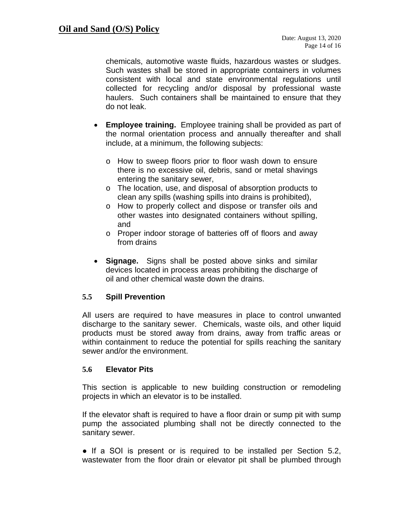chemicals, automotive waste fluids, hazardous wastes or sludges. Such wastes shall be stored in appropriate containers in volumes consistent with local and state environmental regulations until collected for recycling and/or disposal by professional waste haulers. Such containers shall be maintained to ensure that they do not leak.

- **Employee training.** Employee training shall be provided as part of the normal orientation process and annually thereafter and shall include, at a minimum, the following subjects:
	- o How to sweep floors prior to floor wash down to ensure there is no excessive oil, debris, sand or metal shavings entering the sanitary sewer,
	- o The location, use, and disposal of absorption products to clean any spills (washing spills into drains is prohibited),
	- o How to properly collect and dispose or transfer oils and other wastes into designated containers without spilling, and
	- o Proper indoor storage of batteries off of floors and away from drains
- **Signage.** Signs shall be posted above sinks and similar devices located in process areas prohibiting the discharge of oil and other chemical waste down the drains.

#### <span id="page-13-0"></span>**5.5 Spill Prevention**

All users are required to have measures in place to control unwanted discharge to the sanitary sewer. Chemicals, waste oils, and other liquid products must be stored away from drains, away from traffic areas or within containment to reduce the potential for spills reaching the sanitary sewer and/or the environment.

#### <span id="page-13-1"></span>**5.6 Elevator Pits**

This section is applicable to new building construction or remodeling projects in which an elevator is to be installed.

If the elevator shaft is required to have a floor drain or sump pit with sump pump the associated plumbing shall not be directly connected to the sanitary sewer.

• If a SOI is present or is required to be installed per Section 5.2, wastewater from the floor drain or elevator pit shall be plumbed through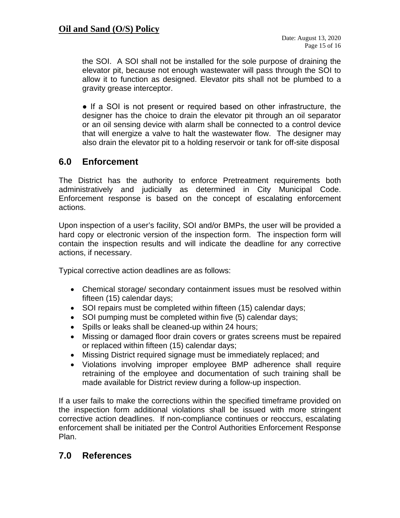## **Oil and Sand (O/S) Policy**

the SOI. A SOI shall not be installed for the sole purpose of draining the elevator pit, because not enough wastewater will pass through the SOI to allow it to function as designed. Elevator pits shall not be plumbed to a gravity grease interceptor.

• If a SOI is not present or required based on other infrastructure, the designer has the choice to drain the elevator pit through an oil separator or an oil sensing device with alarm shall be connected to a control device that will energize a valve to halt the wastewater flow. The designer may also drain the elevator pit to a holding reservoir or tank for off-site disposal

## <span id="page-14-0"></span>**6.0 Enforcement**

The District has the authority to enforce Pretreatment requirements both administratively and judicially as determined in City Municipal Code. Enforcement response is based on the concept of escalating enforcement actions.

Upon inspection of a user's facility, SOI and/or BMPs, the user will be provided a hard copy or electronic version of the inspection form. The inspection form will contain the inspection results and will indicate the deadline for any corrective actions, if necessary.

Typical corrective action deadlines are as follows:

- Chemical storage/ secondary containment issues must be resolved within fifteen (15) calendar days;
- SOI repairs must be completed within fifteen (15) calendar days;
- SOI pumping must be completed within five (5) calendar days;
- Spills or leaks shall be cleaned-up within 24 hours;
- Missing or damaged floor drain covers or grates screens must be repaired or replaced within fifteen (15) calendar days;
- Missing District required signage must be immediately replaced; and
- Violations involving improper employee BMP adherence shall require retraining of the employee and documentation of such training shall be made available for District review during a follow-up inspection.

If a user fails to make the corrections within the specified timeframe provided on the inspection form additional violations shall be issued with more stringent corrective action deadlines. If non-compliance continues or reoccurs, escalating enforcement shall be initiated per the Control Authorities Enforcement Response Plan.

## <span id="page-14-1"></span>**7.0 References**